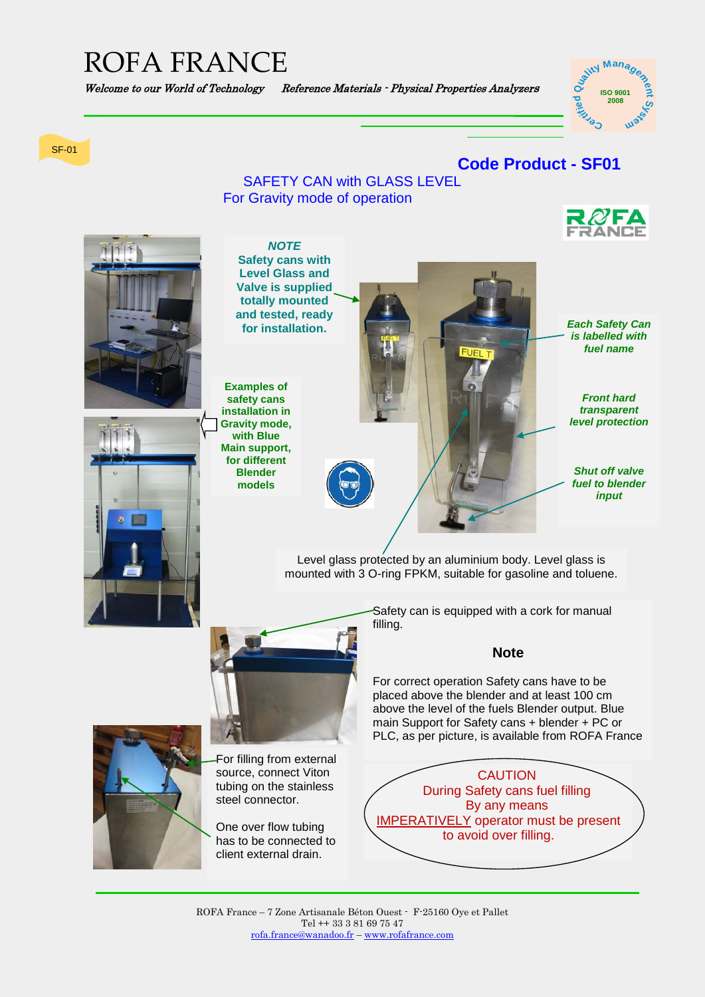# ROFA FRANCE

#### Welcome to our World of Technology Reference Materials - Physical Properties Analyzers

#### **ISO 9001 ISO 9001 2000 2008** ်စ<br>( **rti<sup>f</sup>**  $\dot{M}$  **Man<sub>a</sub>**

#### SF-01

### **Code Product - SF01**

SAFETY CAN with GLASS LEVEL For Gravity mode of operation





ROFA France – 7 Zone Artisanale Béton Ouest - F-25160 Oye et Pallet Tel ++ 33 3 81 69 75 47 [rofa.france@wanadoo.fr](mailto:rofa.france@wanadoo.fr) – [www.rofafrance.com](http://www.rofafrance.com/)